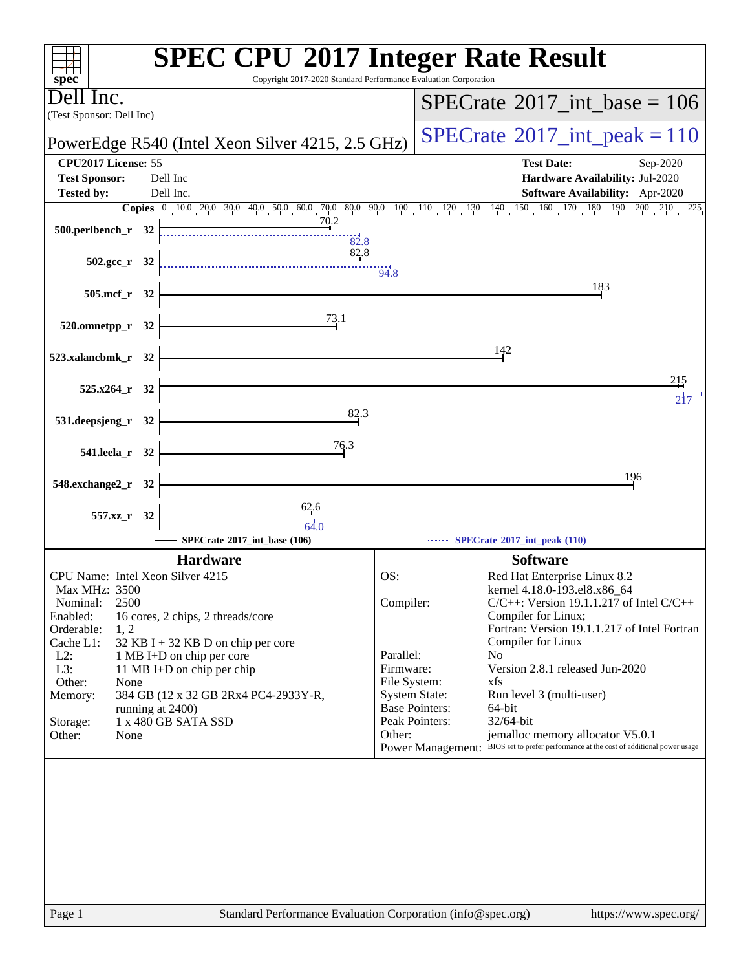| Copyright 2017-2020 Standard Performance Evaluation Corporation<br>$\mathbf{spec}^*$                                                                                                                                     | <b>SPEC CPU®2017 Integer Rate Result</b>                                                                                                                                                                              |
|--------------------------------------------------------------------------------------------------------------------------------------------------------------------------------------------------------------------------|-----------------------------------------------------------------------------------------------------------------------------------------------------------------------------------------------------------------------|
| ell Inc.                                                                                                                                                                                                                 | $SPECTate$ <sup>®</sup> 2017_int_base = 106                                                                                                                                                                           |
| (Test Sponsor: Dell Inc)<br>PowerEdge R540 (Intel Xeon Silver 4215, 2.5 GHz)                                                                                                                                             | $SPECrate^{\circ}2017\_int\_peak = 110$                                                                                                                                                                               |
| CPU2017 License: 55                                                                                                                                                                                                      | <b>Test Date:</b><br>Sep-2020                                                                                                                                                                                         |
| <b>Test Sponsor:</b><br>Dell Inc                                                                                                                                                                                         | Hardware Availability: Jul-2020                                                                                                                                                                                       |
| Dell Inc.<br><b>Tested by:</b>                                                                                                                                                                                           | Software Availability: Apr-2020                                                                                                                                                                                       |
| 70.2<br>500.perlbench_r 32                                                                                                                                                                                               | $180 - 190$<br>200<br>210<br>225                                                                                                                                                                                      |
| 82.8<br>82.8<br>$502.\text{gcc r}$ 32                                                                                                                                                                                    | $-94.8$                                                                                                                                                                                                               |
| 505.mcf_r 32                                                                                                                                                                                                             | 183                                                                                                                                                                                                                   |
| 73.1<br>520.omnetpp_r 32                                                                                                                                                                                                 |                                                                                                                                                                                                                       |
| 523.xalancbmk_r 32                                                                                                                                                                                                       | 142                                                                                                                                                                                                                   |
|                                                                                                                                                                                                                          | 215                                                                                                                                                                                                                   |
| 525.x264_r 32                                                                                                                                                                                                            | 217                                                                                                                                                                                                                   |
| 82.3<br>531.deepsjeng_r 32                                                                                                                                                                                               |                                                                                                                                                                                                                       |
| 76.3<br>541.leela_r 32                                                                                                                                                                                                   |                                                                                                                                                                                                                       |
| 548.exchange2_r<br>- 32                                                                                                                                                                                                  | 196                                                                                                                                                                                                                   |
| 62.6<br>557.xz_r 32<br>64.0<br>SPECrate®2017_int_base (106)                                                                                                                                                              | SPECrate*2017_int_peak (110)                                                                                                                                                                                          |
| <b>Hardware</b>                                                                                                                                                                                                          | <b>Software</b>                                                                                                                                                                                                       |
| CPU Name: Intel Xeon Silver 4215<br>Max MHz: 3500<br>2500<br>Nominal:<br>Enabled:<br>16 cores, 2 chips, 2 threads/core                                                                                                   | OS:<br>Red Hat Enterprise Linux 8.2<br>kernel 4.18.0-193.el8.x86_64<br>Compiler:<br>$C/C++$ : Version 19.1.1.217 of Intel $C/C++$<br>Compiler for Linux;                                                              |
| Orderable:<br>1, 2<br>$32$ KB I + 32 KB D on chip per core<br>Cache L1:<br>$L2$ :<br>1 MB I+D on chip per core<br>L3:<br>11 MB I+D on chip per chip<br>Other:<br>None<br>Memory:<br>384 GB (12 x 32 GB 2Rx4 PC4-2933Y-R, | Fortran: Version 19.1.1.217 of Intel Fortran<br>Compiler for Linux<br>Parallel:<br>N <sub>0</sub><br>Version 2.8.1 released Jun-2020<br>Firmware:<br>File System:<br>xfs<br>System State:<br>Run level 3 (multi-user) |
| running at 2400)<br>1 x 480 GB SATA SSD<br>Storage:                                                                                                                                                                      | <b>Base Pointers:</b><br>64-bit<br>Peak Pointers:<br>32/64-bit                                                                                                                                                        |
| Other:<br>None                                                                                                                                                                                                           | jemalloc memory allocator V5.0.1<br>Other:<br>Power Management: BIOS set to prefer performance at the cost of additional power usage                                                                                  |
|                                                                                                                                                                                                                          |                                                                                                                                                                                                                       |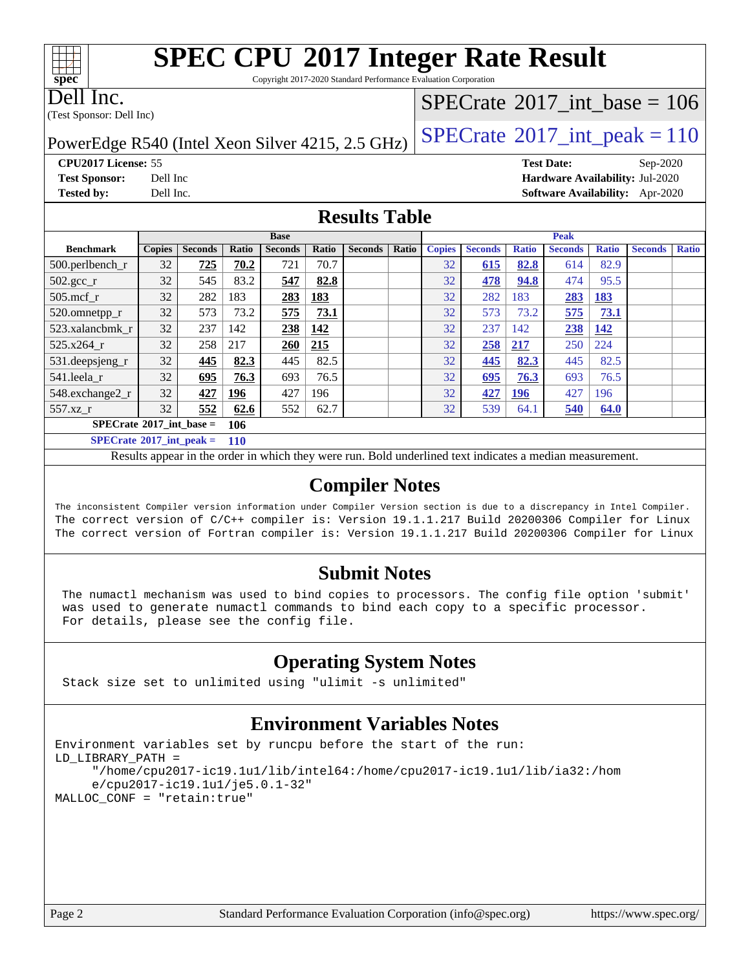# **[SPEC CPU](http://www.spec.org/auto/cpu2017/Docs/result-fields.html#SPECCPU2017IntegerRateResult)[2017 Integer Rate Result](http://www.spec.org/auto/cpu2017/Docs/result-fields.html#SPECCPU2017IntegerRateResult)**

Copyright 2017-2020 Standard Performance Evaluation Corporation

#### Dell Inc.

**[spec](http://www.spec.org/)**

 $+\ +$ 

(Test Sponsor: Dell Inc)

## $SPECTate@2017_int\_base = 106$

# PowerEdge R540 (Intel Xeon Silver 4215, 2.5 GHz)  $\left|$  [SPECrate](http://www.spec.org/auto/cpu2017/Docs/result-fields.html#SPECrate2017intpeak)<sup>®</sup>[2017\\_int\\_peak = 1](http://www.spec.org/auto/cpu2017/Docs/result-fields.html#SPECrate2017intpeak)10

**[Tested by:](http://www.spec.org/auto/cpu2017/Docs/result-fields.html#Testedby)** Dell Inc. **[Software Availability:](http://www.spec.org/auto/cpu2017/Docs/result-fields.html#SoftwareAvailability)** Apr-2020

**[CPU2017 License:](http://www.spec.org/auto/cpu2017/Docs/result-fields.html#CPU2017License)** 55 **[Test Date:](http://www.spec.org/auto/cpu2017/Docs/result-fields.html#TestDate)** Sep-2020 **[Test Sponsor:](http://www.spec.org/auto/cpu2017/Docs/result-fields.html#TestSponsor)** Dell Inc **[Hardware Availability:](http://www.spec.org/auto/cpu2017/Docs/result-fields.html#HardwareAvailability)** Jul-2020

#### **[Results Table](http://www.spec.org/auto/cpu2017/Docs/result-fields.html#ResultsTable)**

| <b>Base</b>                       |               |                |            | <b>Peak</b>    |             |                |       |               |                |              |                |              |                |              |
|-----------------------------------|---------------|----------------|------------|----------------|-------------|----------------|-------|---------------|----------------|--------------|----------------|--------------|----------------|--------------|
| <b>Benchmark</b>                  | <b>Copies</b> | <b>Seconds</b> | Ratio      | <b>Seconds</b> | Ratio       | <b>Seconds</b> | Ratio | <b>Copies</b> | <b>Seconds</b> | <b>Ratio</b> | <b>Seconds</b> | <b>Ratio</b> | <b>Seconds</b> | <b>Ratio</b> |
| $500.$ perlbench_r                | 32            | 725            | 70.2       | 721            | 70.7        |                |       | 32            | 615            | 82.8         | 614            | 82.9         |                |              |
| $502.\text{gcc}$ <sub>r</sub>     | 32            | 545            | 83.2       | 547            | 82.8        |                |       | 32            | 478            | 94.8         | 474            | 95.5         |                |              |
| $505$ .mcf r                      | 32            | 282            | 183        | 283            | 183         |                |       | 32            | 282            | 183          | 283            | <u>183</u>   |                |              |
| 520.omnetpp_r                     | 32            | 573            | 73.2       | 575            | 73.1        |                |       | 32            | 573            | 73.2         | 575            | 73.1         |                |              |
| 523.xalancbmk r                   | 32            | 237            | 142        | 238            | <u> 142</u> |                |       | 32            | 237            | 142          | 238            | <u>142</u>   |                |              |
| 525.x264 r                        | 32            | 258            | 217        | 260            | 215         |                |       | 32            | 258            | 217          | 250            | 224          |                |              |
| 531.deepsjeng_r                   | 32            | 445            | 82.3       | 445            | 82.5        |                |       | 32            | 445            | 82.3         | 445            | 82.5         |                |              |
| 541.leela r                       | 32            | 695            | 76.3       | 693            | 76.5        |                |       | 32            | 695            | 76.3         | 693            | 76.5         |                |              |
| 548.exchange2_r                   | 32            | 427            | 196        | 427            | 196         |                |       | 32            | 427            | <u>196</u>   | 427            | 196          |                |              |
| 557.xz r                          | 32            | 552            | 62.6       | 552            | 62.7        |                |       | 32            | 539            | 64.1         | 540            | 64.0         |                |              |
| $SPECrate^{\circ}2017$ int base = |               |                | 106        |                |             |                |       |               |                |              |                |              |                |              |
| $SPECrate^{\circ}2017$ int peak = |               |                | <b>110</b> |                |             |                |       |               |                |              |                |              |                |              |

Results appear in the [order in which they were run.](http://www.spec.org/auto/cpu2017/Docs/result-fields.html#RunOrder) Bold underlined text [indicates a median measurement.](http://www.spec.org/auto/cpu2017/Docs/result-fields.html#Median)

#### **[Compiler Notes](http://www.spec.org/auto/cpu2017/Docs/result-fields.html#CompilerNotes)**

The inconsistent Compiler version information under Compiler Version section is due to a discrepancy in Intel Compiler. The correct version of C/C++ compiler is: Version 19.1.1.217 Build 20200306 Compiler for Linux The correct version of Fortran compiler is: Version 19.1.1.217 Build 20200306 Compiler for Linux

#### **[Submit Notes](http://www.spec.org/auto/cpu2017/Docs/result-fields.html#SubmitNotes)**

 The numactl mechanism was used to bind copies to processors. The config file option 'submit' was used to generate numactl commands to bind each copy to a specific processor. For details, please see the config file.

### **[Operating System Notes](http://www.spec.org/auto/cpu2017/Docs/result-fields.html#OperatingSystemNotes)**

Stack size set to unlimited using "ulimit -s unlimited"

### **[Environment Variables Notes](http://www.spec.org/auto/cpu2017/Docs/result-fields.html#EnvironmentVariablesNotes)**

```
Environment variables set by runcpu before the start of the run:
LD_LIBRARY_PATH =
      "/home/cpu2017-ic19.1u1/lib/intel64:/home/cpu2017-ic19.1u1/lib/ia32:/hom
      e/cpu2017-ic19.1u1/je5.0.1-32"
MALLOC_CONF = "retain:true"
```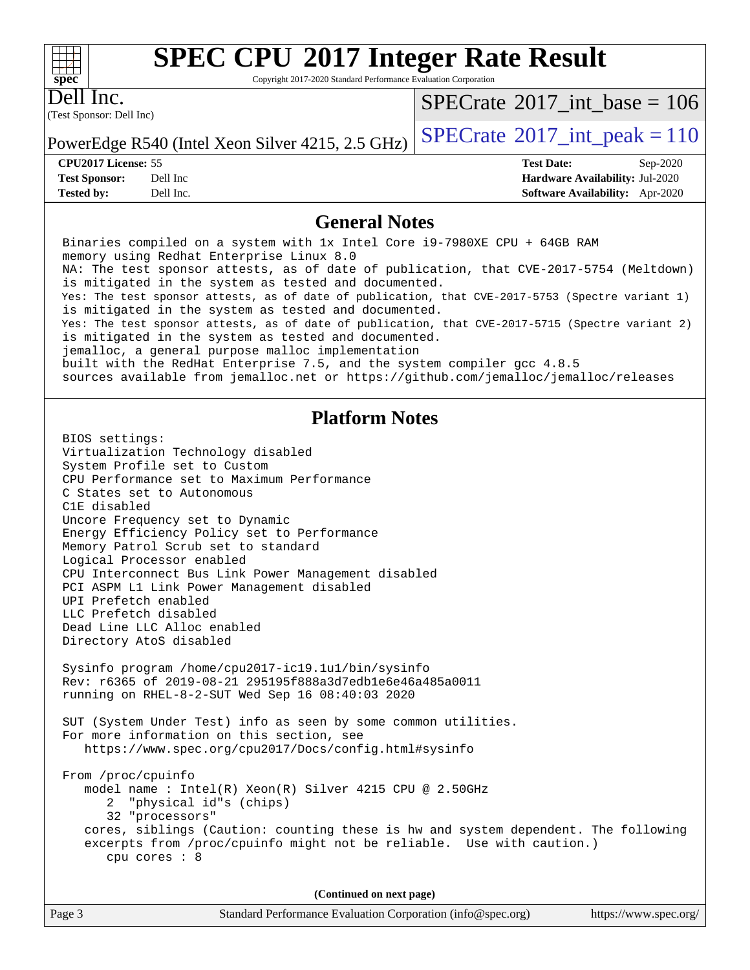#### $+\hskip -1.5pt +\hskip -1.5pt +$ **[spec](http://www.spec.org/)**

# **[SPEC CPU](http://www.spec.org/auto/cpu2017/Docs/result-fields.html#SPECCPU2017IntegerRateResult)[2017 Integer Rate Result](http://www.spec.org/auto/cpu2017/Docs/result-fields.html#SPECCPU2017IntegerRateResult)**

Copyright 2017-2020 Standard Performance Evaluation Corporation

(Test Sponsor: Dell Inc) Dell Inc.

 $SPECrate$ <sup>®</sup>[2017\\_int\\_base =](http://www.spec.org/auto/cpu2017/Docs/result-fields.html#SPECrate2017intbase) 106

PowerEdge R540 (Intel Xeon Silver 4215, 2.5 GHz)  $\left|$  [SPECrate](http://www.spec.org/auto/cpu2017/Docs/result-fields.html#SPECrate2017intpeak)<sup>®</sup>[2017\\_int\\_peak = 1](http://www.spec.org/auto/cpu2017/Docs/result-fields.html#SPECrate2017intpeak)10

**[CPU2017 License:](http://www.spec.org/auto/cpu2017/Docs/result-fields.html#CPU2017License)** 55 **[Test Date:](http://www.spec.org/auto/cpu2017/Docs/result-fields.html#TestDate)** Sep-2020 **[Test Sponsor:](http://www.spec.org/auto/cpu2017/Docs/result-fields.html#TestSponsor)** Dell Inc **[Hardware Availability:](http://www.spec.org/auto/cpu2017/Docs/result-fields.html#HardwareAvailability)** Jul-2020 **[Tested by:](http://www.spec.org/auto/cpu2017/Docs/result-fields.html#Testedby)** Dell Inc. **[Software Availability:](http://www.spec.org/auto/cpu2017/Docs/result-fields.html#SoftwareAvailability)** Apr-2020

#### **[General Notes](http://www.spec.org/auto/cpu2017/Docs/result-fields.html#GeneralNotes)**

 Binaries compiled on a system with 1x Intel Core i9-7980XE CPU + 64GB RAM memory using Redhat Enterprise Linux 8.0 NA: The test sponsor attests, as of date of publication, that CVE-2017-5754 (Meltdown) is mitigated in the system as tested and documented. Yes: The test sponsor attests, as of date of publication, that CVE-2017-5753 (Spectre variant 1) is mitigated in the system as tested and documented. Yes: The test sponsor attests, as of date of publication, that CVE-2017-5715 (Spectre variant 2) is mitigated in the system as tested and documented. jemalloc, a general purpose malloc implementation built with the RedHat Enterprise 7.5, and the system compiler gcc 4.8.5 sources available from jemalloc.net or<https://github.com/jemalloc/jemalloc/releases> **[Platform Notes](http://www.spec.org/auto/cpu2017/Docs/result-fields.html#PlatformNotes)** BIOS settings: Virtualization Technology disabled System Profile set to Custom CPU Performance set to Maximum Performance C States set to Autonomous C1E disabled Uncore Frequency set to Dynamic Energy Efficiency Policy set to Performance Memory Patrol Scrub set to standard Logical Processor enabled CPU Interconnect Bus Link Power Management disabled PCI ASPM L1 Link Power Management disabled UPI Prefetch enabled LLC Prefetch disabled Dead Line LLC Alloc enabled Directory AtoS disabled Sysinfo program /home/cpu2017-ic19.1u1/bin/sysinfo Rev: r6365 of 2019-08-21 295195f888a3d7edb1e6e46a485a0011 running on RHEL-8-2-SUT Wed Sep 16 08:40:03 2020 SUT (System Under Test) info as seen by some common utilities. For more information on this section, see <https://www.spec.org/cpu2017/Docs/config.html#sysinfo> From /proc/cpuinfo model name : Intel(R) Xeon(R) Silver 4215 CPU @ 2.50GHz 2 "physical id"s (chips) 32 "processors" cores, siblings (Caution: counting these is hw and system dependent. The following excerpts from /proc/cpuinfo might not be reliable. Use with caution.) cpu cores : 8 **(Continued on next page)**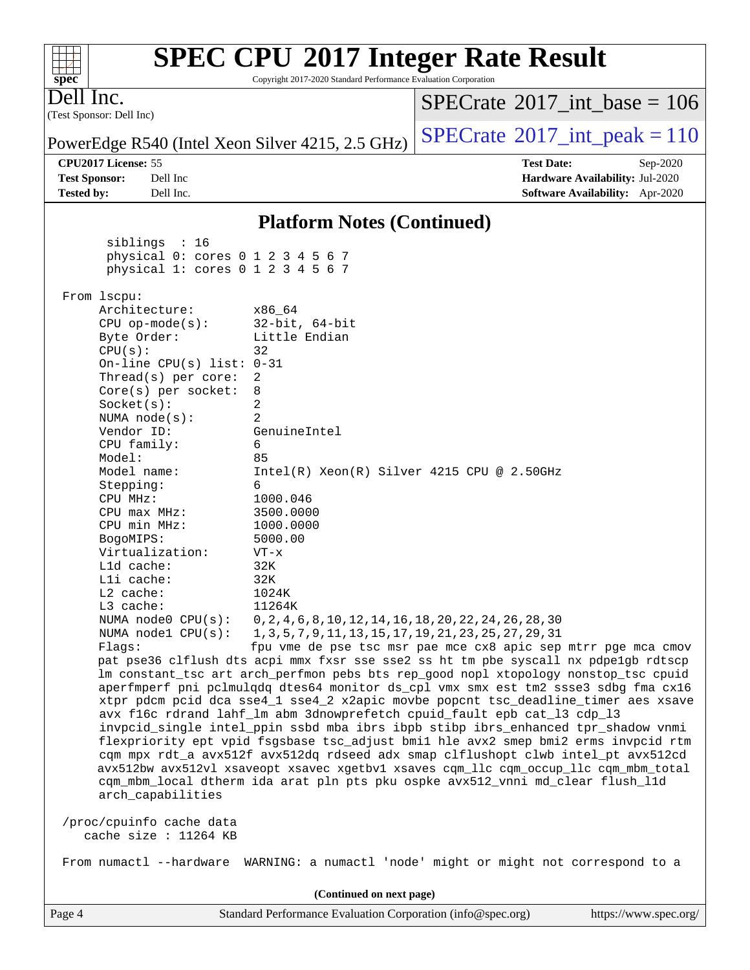| $spec^*$          |                                                   | Copyright 2017-2020 Standard Performance Evaluation Corporation                                                                                                        |                                             |                                 |
|-------------------|---------------------------------------------------|------------------------------------------------------------------------------------------------------------------------------------------------------------------------|---------------------------------------------|---------------------------------|
| Dell Inc.         |                                                   |                                                                                                                                                                        | $SPECTate$ <sup>®</sup> 2017_int_base = 106 |                                 |
|                   | (Test Sponsor: Dell Inc)                          |                                                                                                                                                                        |                                             |                                 |
|                   |                                                   | PowerEdge R540 (Intel Xeon Silver 4215, 2.5 GHz)                                                                                                                       | $SPECTate$ <sup>®</sup> 2017_int_peak = 110 |                                 |
|                   | CPU2017 License: 55                               |                                                                                                                                                                        | <b>Test Date:</b>                           | Sep-2020                        |
|                   | <b>Test Sponsor:</b><br>Dell Inc                  |                                                                                                                                                                        |                                             | Hardware Availability: Jul-2020 |
| <b>Tested by:</b> | Dell Inc.                                         |                                                                                                                                                                        |                                             | Software Availability: Apr-2020 |
|                   |                                                   | <b>Platform Notes (Continued)</b>                                                                                                                                      |                                             |                                 |
|                   | siblings : 16                                     |                                                                                                                                                                        |                                             |                                 |
|                   | physical 0: cores 0 1 2 3 4 5 6 7                 |                                                                                                                                                                        |                                             |                                 |
|                   | physical 1: cores 0 1 2 3 4 5 6 7                 |                                                                                                                                                                        |                                             |                                 |
|                   | From 1scpu:                                       |                                                                                                                                                                        |                                             |                                 |
|                   | Architecture:                                     | x86 64                                                                                                                                                                 |                                             |                                 |
|                   | $CPU$ op-mode( $s$ ):                             | $32$ -bit, $64$ -bit                                                                                                                                                   |                                             |                                 |
|                   | Byte Order:                                       | Little Endian                                                                                                                                                          |                                             |                                 |
|                   | CPU(s):                                           | 32                                                                                                                                                                     |                                             |                                 |
|                   | On-line CPU(s) list: $0-31$                       |                                                                                                                                                                        |                                             |                                 |
|                   | Thread(s) per core:                               | 2                                                                                                                                                                      |                                             |                                 |
|                   | Core(s) per socket:<br>Socket(s):                 | 8<br>2                                                                                                                                                                 |                                             |                                 |
|                   | NUMA $node(s)$ :                                  | $\overline{2}$                                                                                                                                                         |                                             |                                 |
|                   | Vendor ID:                                        | GenuineIntel                                                                                                                                                           |                                             |                                 |
|                   | CPU family:                                       | 6                                                                                                                                                                      |                                             |                                 |
|                   | Model:                                            | 85                                                                                                                                                                     |                                             |                                 |
|                   | Model name:                                       | $Intel(R) Xeon(R) Silver 4215 CPU @ 2.50GHz$                                                                                                                           |                                             |                                 |
|                   | Stepping:                                         | 6                                                                                                                                                                      |                                             |                                 |
|                   | CPU MHz:                                          | 1000.046                                                                                                                                                               |                                             |                                 |
|                   | $CPU$ max $MHz$ :<br>CPU min MHz:                 | 3500.0000<br>1000.0000                                                                                                                                                 |                                             |                                 |
|                   | BogoMIPS:                                         | 5000.00                                                                                                                                                                |                                             |                                 |
|                   | Virtualization:                                   | $VT - x$                                                                                                                                                               |                                             |                                 |
|                   | L1d cache:                                        | 32K                                                                                                                                                                    |                                             |                                 |
|                   | Lli cache:                                        | 32K                                                                                                                                                                    |                                             |                                 |
|                   | $L2$ cache:                                       | 1024K                                                                                                                                                                  |                                             |                                 |
|                   | L3 cache:                                         | 11264K                                                                                                                                                                 |                                             |                                 |
|                   | NUMA $node0$ $CPU(s)$ :                           | 0, 2, 4, 6, 8, 10, 12, 14, 16, 18, 20, 22, 24, 26, 28, 30                                                                                                              |                                             |                                 |
|                   | Flaqs:                                            | NUMA nodel CPU(s): 1, 3, 5, 7, 9, 11, 13, 15, 17, 19, 21, 23, 25, 27, 29, 31<br>fpu vme de pse tsc msr pae mce cx8 apic sep mtrr pge mca cmov                          |                                             |                                 |
|                   |                                                   | pat pse36 clflush dts acpi mmx fxsr sse sse2 ss ht tm pbe syscall nx pdpelgb rdtscp                                                                                    |                                             |                                 |
|                   |                                                   | lm constant_tsc art arch_perfmon pebs bts rep_good nopl xtopology nonstop_tsc cpuid                                                                                    |                                             |                                 |
|                   |                                                   | aperfmperf pni pclmulqdq dtes64 monitor ds_cpl vmx smx est tm2 ssse3 sdbg fma cx16                                                                                     |                                             |                                 |
|                   |                                                   | xtpr pdcm pcid dca sse4_1 sse4_2 x2apic movbe popcnt tsc_deadline_timer aes xsave                                                                                      |                                             |                                 |
|                   |                                                   | avx f16c rdrand lahf_lm abm 3dnowprefetch cpuid_fault epb cat_13 cdp_13                                                                                                |                                             |                                 |
|                   |                                                   | invpcid_single intel_ppin ssbd mba ibrs ibpb stibp ibrs_enhanced tpr_shadow vnmi                                                                                       |                                             |                                 |
|                   |                                                   | flexpriority ept vpid fsgsbase tsc_adjust bmil hle avx2 smep bmi2 erms invpcid rtm<br>cqm mpx rdt_a avx512f avx512dq rdseed adx smap clflushopt clwb intel_pt avx512cd |                                             |                                 |
|                   |                                                   | avx512bw avx512vl xsaveopt xsavec xgetbv1 xsaves cqm_llc cqm_occup_llc cqm_mbm_total                                                                                   |                                             |                                 |
|                   |                                                   | cqm_mbm_local dtherm ida arat pln pts pku ospke avx512_vnni md_clear flush_l1d                                                                                         |                                             |                                 |
|                   | arch_capabilities                                 |                                                                                                                                                                        |                                             |                                 |
|                   | /proc/cpuinfo cache data<br>cache size : 11264 KB |                                                                                                                                                                        |                                             |                                 |
|                   |                                                   | From numactl --hardware WARNING: a numactl 'node' might or might not correspond to a                                                                                   |                                             |                                 |
|                   |                                                   | (Continued on next page)                                                                                                                                               |                                             |                                 |
| Page 4            |                                                   | Standard Performance Evaluation Corporation (info@spec.org)                                                                                                            |                                             | https://www.spec.org/           |

**[SPEC CPU](http://www.spec.org/auto/cpu2017/Docs/result-fields.html#SPECCPU2017IntegerRateResult)[2017 Integer Rate Result](http://www.spec.org/auto/cpu2017/Docs/result-fields.html#SPECCPU2017IntegerRateResult)**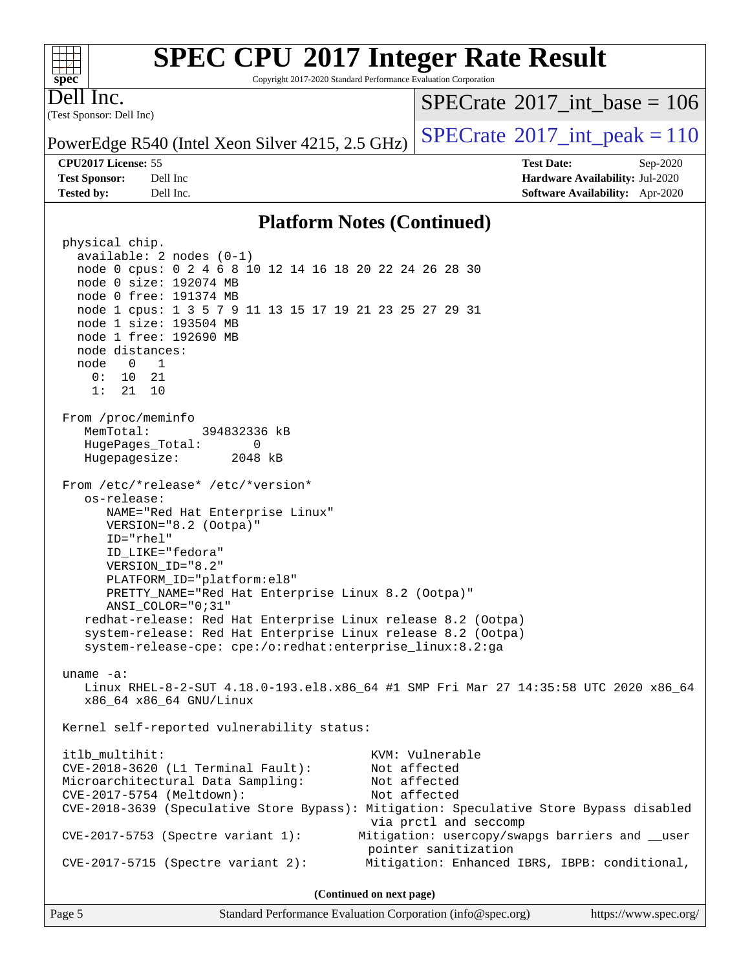#### $+\ +$ **[spec](http://www.spec.org/)**

# **[SPEC CPU](http://www.spec.org/auto/cpu2017/Docs/result-fields.html#SPECCPU2017IntegerRateResult)[2017 Integer Rate Result](http://www.spec.org/auto/cpu2017/Docs/result-fields.html#SPECCPU2017IntegerRateResult)**

Copyright 2017-2020 Standard Performance Evaluation Corporation

(Test Sponsor: Dell Inc) Dell Inc.

 $SPECrate$ <sup>®</sup>[2017\\_int\\_base =](http://www.spec.org/auto/cpu2017/Docs/result-fields.html#SPECrate2017intbase) 106

PowerEdge R540 (Intel Xeon Silver 4215, 2.5 GHz)  $\left|$  [SPECrate](http://www.spec.org/auto/cpu2017/Docs/result-fields.html#SPECrate2017intpeak)<sup>®</sup>[2017\\_int\\_peak = 1](http://www.spec.org/auto/cpu2017/Docs/result-fields.html#SPECrate2017intpeak)10

#### **[CPU2017 License:](http://www.spec.org/auto/cpu2017/Docs/result-fields.html#CPU2017License)** 55 **[Test Date:](http://www.spec.org/auto/cpu2017/Docs/result-fields.html#TestDate)** Sep-2020

**[Test Sponsor:](http://www.spec.org/auto/cpu2017/Docs/result-fields.html#TestSponsor)** Dell Inc **[Hardware Availability:](http://www.spec.org/auto/cpu2017/Docs/result-fields.html#HardwareAvailability)** Jul-2020 **[Tested by:](http://www.spec.org/auto/cpu2017/Docs/result-fields.html#Testedby)** Dell Inc. **[Software Availability:](http://www.spec.org/auto/cpu2017/Docs/result-fields.html#SoftwareAvailability)** Apr-2020

#### **[Platform Notes \(Continued\)](http://www.spec.org/auto/cpu2017/Docs/result-fields.html#PlatformNotes)**

 physical chip. available: 2 nodes (0-1) node 0 cpus: 0 2 4 6 8 10 12 14 16 18 20 22 24 26 28 30 node 0 size: 192074 MB node 0 free: 191374 MB node 1 cpus: 1 3 5 7 9 11 13 15 17 19 21 23 25 27 29 31 node 1 size: 193504 MB node 1 free: 192690 MB node distances: node 0 1 0: 10 21 1: 21 10 From /proc/meminfo MemTotal: 394832336 kB HugePages\_Total: 0 Hugepagesize: 2048 kB From /etc/\*release\* /etc/\*version\* os-release: NAME="Red Hat Enterprise Linux" VERSION="8.2 (Ootpa)" ID="rhel" ID\_LIKE="fedora" VERSION\_ID="8.2" PLATFORM\_ID="platform:el8" PRETTY\_NAME="Red Hat Enterprise Linux 8.2 (Ootpa)" ANSI\_COLOR="0;31" redhat-release: Red Hat Enterprise Linux release 8.2 (Ootpa) system-release: Red Hat Enterprise Linux release 8.2 (Ootpa) system-release-cpe: cpe:/o:redhat:enterprise\_linux:8.2:ga uname -a: Linux RHEL-8-2-SUT 4.18.0-193.el8.x86\_64 #1 SMP Fri Mar 27 14:35:58 UTC 2020 x86\_64 x86\_64 x86\_64 GNU/Linux Kernel self-reported vulnerability status: itlb\_multihit: KVM: Vulnerable CVE-2018-3620 (L1 Terminal Fault): Not affected Microarchitectural Data Sampling: Not affected CVE-2017-5754 (Meltdown): Not affected CVE-2018-3639 (Speculative Store Bypass): Mitigation: Speculative Store Bypass disabled via prctl and seccomp CVE-2017-5753 (Spectre variant 1): Mitigation: usercopy/swapgs barriers and \_\_user pointer sanitization CVE-2017-5715 (Spectre variant 2): Mitigation: Enhanced IBRS, IBPB: conditional, **(Continued on next page)**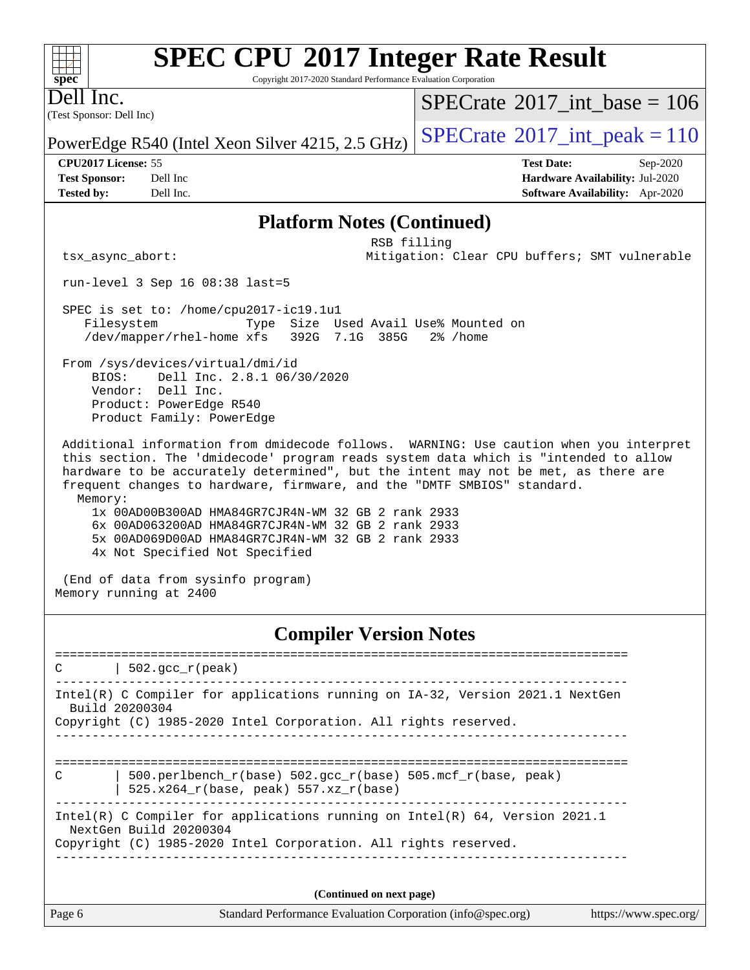#### $+\hskip -1.5pt +\hskip -1.5pt +$ **[spec](http://www.spec.org/)**

# **[SPEC CPU](http://www.spec.org/auto/cpu2017/Docs/result-fields.html#SPECCPU2017IntegerRateResult)[2017 Integer Rate Result](http://www.spec.org/auto/cpu2017/Docs/result-fields.html#SPECCPU2017IntegerRateResult)**

Copyright 2017-2020 Standard Performance Evaluation Corporation

(Test Sponsor: Dell Inc) Dell Inc.

 $SPECrate$ <sup>®</sup>[2017\\_int\\_base =](http://www.spec.org/auto/cpu2017/Docs/result-fields.html#SPECrate2017intbase) 106

PowerEdge R540 (Intel Xeon Silver 4215, 2.5 GHz)  $\left|$  [SPECrate](http://www.spec.org/auto/cpu2017/Docs/result-fields.html#SPECrate2017intpeak)<sup>®</sup>[2017\\_int\\_peak = 1](http://www.spec.org/auto/cpu2017/Docs/result-fields.html#SPECrate2017intpeak)10

**[Tested by:](http://www.spec.org/auto/cpu2017/Docs/result-fields.html#Testedby)** Dell Inc. **[Software Availability:](http://www.spec.org/auto/cpu2017/Docs/result-fields.html#SoftwareAvailability)** Apr-2020

**[CPU2017 License:](http://www.spec.org/auto/cpu2017/Docs/result-fields.html#CPU2017License)** 55 **[Test Date:](http://www.spec.org/auto/cpu2017/Docs/result-fields.html#TestDate)** Sep-2020 **[Test Sponsor:](http://www.spec.org/auto/cpu2017/Docs/result-fields.html#TestSponsor)** Dell Inc **[Hardware Availability:](http://www.spec.org/auto/cpu2017/Docs/result-fields.html#HardwareAvailability)** Jul-2020

#### **[Platform Notes \(Continued\)](http://www.spec.org/auto/cpu2017/Docs/result-fields.html#PlatformNotes)**

 RSB filling tsx\_async\_abort: Mitigation: Clear CPU buffers; SMT vulnerable

run-level 3 Sep 16 08:38 last=5

 SPEC is set to: /home/cpu2017-ic19.1u1 Filesystem Type Size Used Avail Use% Mounted on /dev/mapper/rhel-home xfs 392G 7.1G 385G 2% /home

 From /sys/devices/virtual/dmi/id BIOS: Dell Inc. 2.8.1 06/30/2020 Vendor: Dell Inc. Product: PowerEdge R540 Product Family: PowerEdge

 Additional information from dmidecode follows. WARNING: Use caution when you interpret this section. The 'dmidecode' program reads system data which is "intended to allow hardware to be accurately determined", but the intent may not be met, as there are frequent changes to hardware, firmware, and the "DMTF SMBIOS" standard. Memory:

 1x 00AD00B300AD HMA84GR7CJR4N-WM 32 GB 2 rank 2933 6x 00AD063200AD HMA84GR7CJR4N-WM 32 GB 2 rank 2933 5x 00AD069D00AD HMA84GR7CJR4N-WM 32 GB 2 rank 2933 4x Not Specified Not Specified

 (End of data from sysinfo program) Memory running at 2400

#### **[Compiler Version Notes](http://www.spec.org/auto/cpu2017/Docs/result-fields.html#CompilerVersionNotes)**

==============================================================================  $C \qquad | \; 502.\text{gcc\_r}(\text{peak})$ ------------------------------------------------------------------------------ Intel(R) C Compiler for applications running on IA-32, Version 2021.1 NextGen Build 20200304 Copyright (C) 1985-2020 Intel Corporation. All rights reserved. ------------------------------------------------------------------------------ ============================================================================== C | 500.perlbench\_r(base) 502.gcc\_r(base) 505.mcf\_r(base, peak) | 525.x264\_r(base, peak) 557.xz\_r(base) ------------------------------------------------------------------------------ Intel(R) C Compiler for applications running on Intel(R) 64, Version 2021.1 NextGen Build 20200304 Copyright (C) 1985-2020 Intel Corporation. All rights reserved. ------------------------------------------------------------------------------ **(Continued on next page)**

| Page 6 |  |
|--------|--|
|--------|--|

Page 6 Standard Performance Evaluation Corporation [\(info@spec.org\)](mailto:info@spec.org) <https://www.spec.org/>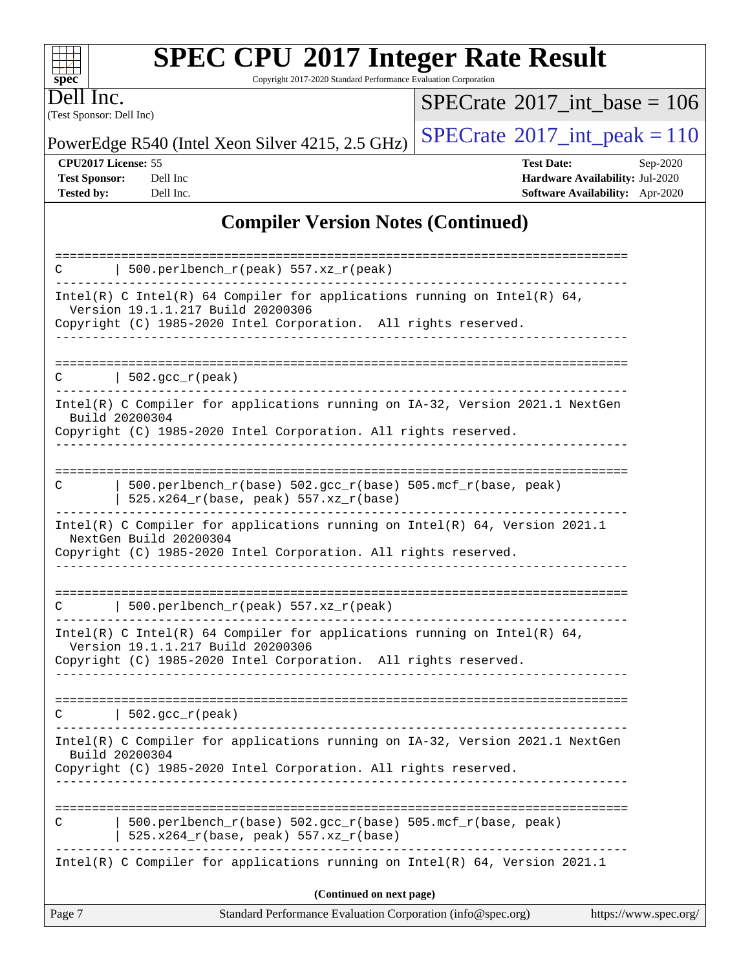#### $\pm\,\mu$ **[spec](http://www.spec.org/)**

# **[SPEC CPU](http://www.spec.org/auto/cpu2017/Docs/result-fields.html#SPECCPU2017IntegerRateResult)[2017 Integer Rate Result](http://www.spec.org/auto/cpu2017/Docs/result-fields.html#SPECCPU2017IntegerRateResult)**

Copyright 2017-2020 Standard Performance Evaluation Corporation

(Test Sponsor: Dell Inc) Dell Inc.

 $SPECrate$ <sup>®</sup>[2017\\_int\\_base =](http://www.spec.org/auto/cpu2017/Docs/result-fields.html#SPECrate2017intbase) 106

PowerEdge R540 (Intel Xeon Silver 4215, 2.5 GHz)  $\left|$  [SPECrate](http://www.spec.org/auto/cpu2017/Docs/result-fields.html#SPECrate2017intpeak)<sup>®</sup>[2017\\_int\\_peak = 1](http://www.spec.org/auto/cpu2017/Docs/result-fields.html#SPECrate2017intpeak)10

**[CPU2017 License:](http://www.spec.org/auto/cpu2017/Docs/result-fields.html#CPU2017License)** 55 **[Test Date:](http://www.spec.org/auto/cpu2017/Docs/result-fields.html#TestDate)** Sep-2020 **[Test Sponsor:](http://www.spec.org/auto/cpu2017/Docs/result-fields.html#TestSponsor)** Dell Inc **[Hardware Availability:](http://www.spec.org/auto/cpu2017/Docs/result-fields.html#HardwareAvailability)** Jul-2020 **[Tested by:](http://www.spec.org/auto/cpu2017/Docs/result-fields.html#Testedby)** Dell Inc. **[Software Availability:](http://www.spec.org/auto/cpu2017/Docs/result-fields.html#SoftwareAvailability)** Apr-2020

### **[Compiler Version Notes \(Continued\)](http://www.spec.org/auto/cpu2017/Docs/result-fields.html#CompilerVersionNotes)**

| Intel(R) C Compiler for applications running on IA-32, Version 2021.1 NextGen<br>Build 20200304<br>Copyright (C) 1985-2020 Intel Corporation. All rights reserved.<br>500.perlbench_r(base) 502.gcc_r(base) 505.mcf_r(base, peak)<br>С<br>525.x264_r(base, peak) 557.xz_r(base)<br>Intel(R) C Compiler for applications running on Intel(R) 64, Version 2021.1<br>(Continued on next page) |  |
|--------------------------------------------------------------------------------------------------------------------------------------------------------------------------------------------------------------------------------------------------------------------------------------------------------------------------------------------------------------------------------------------|--|
|                                                                                                                                                                                                                                                                                                                                                                                            |  |
|                                                                                                                                                                                                                                                                                                                                                                                            |  |
|                                                                                                                                                                                                                                                                                                                                                                                            |  |
|                                                                                                                                                                                                                                                                                                                                                                                            |  |
| $\vert$ 502.gcc_r(peak)<br>$\mathbf C$                                                                                                                                                                                                                                                                                                                                                     |  |
| Intel(R) C Intel(R) 64 Compiler for applications running on Intel(R) 64,<br>Version 19.1.1.217 Build 20200306<br>Copyright (C) 1985-2020 Intel Corporation. All rights reserved.                                                                                                                                                                                                           |  |
| 500.perlbench_r(peak) 557.xz_r(peak)                                                                                                                                                                                                                                                                                                                                                       |  |
| Intel(R) C Compiler for applications running on Intel(R) 64, Version 2021.1<br>NextGen Build 20200304<br>Copyright (C) 1985-2020 Intel Corporation. All rights reserved.                                                                                                                                                                                                                   |  |
| 500.perlbench_r(base) 502.gcc_r(base) 505.mcf_r(base, peak)<br>C<br>525.x264_r(base, peak) 557.xz_r(base)                                                                                                                                                                                                                                                                                  |  |
| Intel(R) C Compiler for applications running on IA-32, Version 2021.1 NextGen<br>Build 20200304<br>Copyright (C) 1985-2020 Intel Corporation. All rights reserved.                                                                                                                                                                                                                         |  |
| $502.\text{gcc\_r}(\text{peak})$<br>C.                                                                                                                                                                                                                                                                                                                                                     |  |
| Intel(R) C Intel(R) 64 Compiler for applications running on Intel(R) 64,<br>Version 19.1.1.217 Build 20200306<br>Copyright (C) 1985-2020 Intel Corporation. All rights reserved.                                                                                                                                                                                                           |  |
| 500.perlbench_r(peak) 557.xz_r(peak)<br>C.                                                                                                                                                                                                                                                                                                                                                 |  |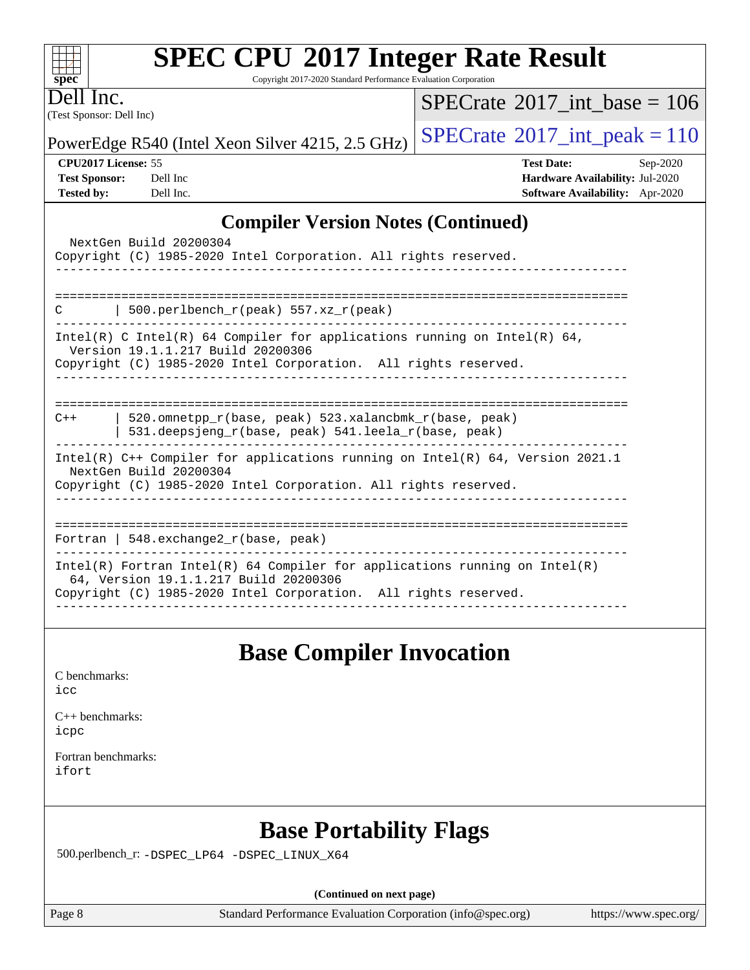Copyright 2017-2020 Standard Performance Evaluation Corporation

(Test Sponsor: Dell Inc) Dell Inc.

**[spec](http://www.spec.org/)**

 $+\!+\!$ 

 $SPECTate$ <sup>®</sup>[2017\\_int\\_base =](http://www.spec.org/auto/cpu2017/Docs/result-fields.html#SPECrate2017intbase) 106

PowerEdge R540 (Intel Xeon Silver 4215, 2.5 GHz)  $\left|$  [SPECrate](http://www.spec.org/auto/cpu2017/Docs/result-fields.html#SPECrate2017intpeak)<sup>®</sup>[2017\\_int\\_peak = 1](http://www.spec.org/auto/cpu2017/Docs/result-fields.html#SPECrate2017intpeak)10

**[CPU2017 License:](http://www.spec.org/auto/cpu2017/Docs/result-fields.html#CPU2017License)** 55 **[Test Date:](http://www.spec.org/auto/cpu2017/Docs/result-fields.html#TestDate)** Sep-2020 **[Test Sponsor:](http://www.spec.org/auto/cpu2017/Docs/result-fields.html#TestSponsor)** Dell Inc **[Hardware Availability:](http://www.spec.org/auto/cpu2017/Docs/result-fields.html#HardwareAvailability)** Jul-2020 **[Tested by:](http://www.spec.org/auto/cpu2017/Docs/result-fields.html#Testedby)** Dell Inc. **[Software Availability:](http://www.spec.org/auto/cpu2017/Docs/result-fields.html#SoftwareAvailability)** Apr-2020

### **[Compiler Version Notes \(Continued\)](http://www.spec.org/auto/cpu2017/Docs/result-fields.html#CompilerVersionNotes)**

| NextGen Build 20200304<br>Copyright (C) 1985-2020 Intel Corporation. All rights reserved.                                                                                              |
|----------------------------------------------------------------------------------------------------------------------------------------------------------------------------------------|
| 500.perlbench_r(peak) $557. xz_r$ (peak)<br>C                                                                                                                                          |
| Intel(R) C Intel(R) 64 Compiler for applications running on Intel(R) 64,<br>Version 19.1.1.217 Build 20200306<br>Copyright (C) 1985-2020 Intel Corporation. All rights reserved.       |
| 520.omnetpp r(base, peak) 523.xalancbmk r(base, peak)<br>$C++$<br>$531.\n$ deepsjeng r(base, peak) $541.\n$ leela r(base, peak)                                                        |
| Intel(R) $C++$ Compiler for applications running on Intel(R) 64, Version 2021.1<br>NextGen Build 20200304<br>Copyright (C) 1985-2020 Intel Corporation. All rights reserved.           |
| Fortran   548.exchange2 $r(base, peak)$                                                                                                                                                |
| Intel(R) Fortran Intel(R) 64 Compiler for applications running on Intel(R)<br>64, Version 19.1.1.217 Build 20200306<br>Copyright (C) 1985-2020 Intel Corporation. All rights reserved. |
|                                                                                                                                                                                        |

## **[Base Compiler Invocation](http://www.spec.org/auto/cpu2017/Docs/result-fields.html#BaseCompilerInvocation)**

[C benchmarks](http://www.spec.org/auto/cpu2017/Docs/result-fields.html#Cbenchmarks):

[icc](http://www.spec.org/cpu2017/results/res2020q4/cpu2017-20200928-24069.flags.html#user_CCbase_intel_icc_66fc1ee009f7361af1fbd72ca7dcefbb700085f36577c54f309893dd4ec40d12360134090235512931783d35fd58c0460139e722d5067c5574d8eaf2b3e37e92)

[C++ benchmarks:](http://www.spec.org/auto/cpu2017/Docs/result-fields.html#CXXbenchmarks) [icpc](http://www.spec.org/cpu2017/results/res2020q4/cpu2017-20200928-24069.flags.html#user_CXXbase_intel_icpc_c510b6838c7f56d33e37e94d029a35b4a7bccf4766a728ee175e80a419847e808290a9b78be685c44ab727ea267ec2f070ec5dc83b407c0218cded6866a35d07)

[Fortran benchmarks](http://www.spec.org/auto/cpu2017/Docs/result-fields.html#Fortranbenchmarks): [ifort](http://www.spec.org/cpu2017/results/res2020q4/cpu2017-20200928-24069.flags.html#user_FCbase_intel_ifort_8111460550e3ca792625aed983ce982f94888b8b503583aa7ba2b8303487b4d8a21a13e7191a45c5fd58ff318f48f9492884d4413fa793fd88dd292cad7027ca)

## **[Base Portability Flags](http://www.spec.org/auto/cpu2017/Docs/result-fields.html#BasePortabilityFlags)**

500.perlbench\_r: [-DSPEC\\_LP64](http://www.spec.org/cpu2017/results/res2020q4/cpu2017-20200928-24069.flags.html#b500.perlbench_r_basePORTABILITY_DSPEC_LP64) [-DSPEC\\_LINUX\\_X64](http://www.spec.org/cpu2017/results/res2020q4/cpu2017-20200928-24069.flags.html#b500.perlbench_r_baseCPORTABILITY_DSPEC_LINUX_X64)

**(Continued on next page)**

Page 8 Standard Performance Evaluation Corporation [\(info@spec.org\)](mailto:info@spec.org) <https://www.spec.org/>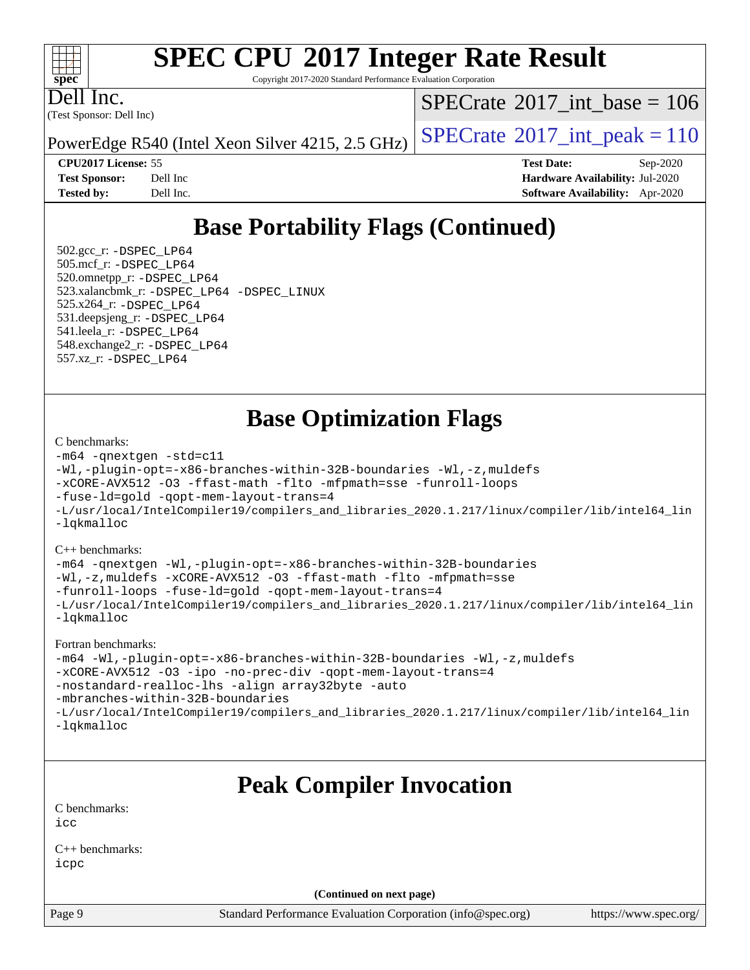#### $\pm\pm\tau$ **[spec](http://www.spec.org/)**

# **[SPEC CPU](http://www.spec.org/auto/cpu2017/Docs/result-fields.html#SPECCPU2017IntegerRateResult)[2017 Integer Rate Result](http://www.spec.org/auto/cpu2017/Docs/result-fields.html#SPECCPU2017IntegerRateResult)**

Copyright 2017-2020 Standard Performance Evaluation Corporation

(Test Sponsor: Dell Inc) Dell Inc.

 $SPECTate$ <sup>®</sup>[2017\\_int\\_base =](http://www.spec.org/auto/cpu2017/Docs/result-fields.html#SPECrate2017intbase) 106

PowerEdge R540 (Intel Xeon Silver 4215, 2.5 GHz)  $\left|$  [SPECrate](http://www.spec.org/auto/cpu2017/Docs/result-fields.html#SPECrate2017intpeak)<sup>®</sup>[2017\\_int\\_peak = 1](http://www.spec.org/auto/cpu2017/Docs/result-fields.html#SPECrate2017intpeak)10

**[CPU2017 License:](http://www.spec.org/auto/cpu2017/Docs/result-fields.html#CPU2017License)** 55 **[Test Date:](http://www.spec.org/auto/cpu2017/Docs/result-fields.html#TestDate)** Sep-2020 **[Test Sponsor:](http://www.spec.org/auto/cpu2017/Docs/result-fields.html#TestSponsor)** Dell Inc **[Hardware Availability:](http://www.spec.org/auto/cpu2017/Docs/result-fields.html#HardwareAvailability)** Jul-2020 **[Tested by:](http://www.spec.org/auto/cpu2017/Docs/result-fields.html#Testedby)** Dell Inc. **[Software Availability:](http://www.spec.org/auto/cpu2017/Docs/result-fields.html#SoftwareAvailability)** Apr-2020

# **[Base Portability Flags \(Continued\)](http://www.spec.org/auto/cpu2017/Docs/result-fields.html#BasePortabilityFlags)**

 502.gcc\_r: [-DSPEC\\_LP64](http://www.spec.org/cpu2017/results/res2020q4/cpu2017-20200928-24069.flags.html#suite_basePORTABILITY502_gcc_r_DSPEC_LP64) 505.mcf\_r: [-DSPEC\\_LP64](http://www.spec.org/cpu2017/results/res2020q4/cpu2017-20200928-24069.flags.html#suite_basePORTABILITY505_mcf_r_DSPEC_LP64) 520.omnetpp\_r: [-DSPEC\\_LP64](http://www.spec.org/cpu2017/results/res2020q4/cpu2017-20200928-24069.flags.html#suite_basePORTABILITY520_omnetpp_r_DSPEC_LP64) 523.xalancbmk\_r: [-DSPEC\\_LP64](http://www.spec.org/cpu2017/results/res2020q4/cpu2017-20200928-24069.flags.html#suite_basePORTABILITY523_xalancbmk_r_DSPEC_LP64) [-DSPEC\\_LINUX](http://www.spec.org/cpu2017/results/res2020q4/cpu2017-20200928-24069.flags.html#b523.xalancbmk_r_baseCXXPORTABILITY_DSPEC_LINUX) 525.x264\_r: [-DSPEC\\_LP64](http://www.spec.org/cpu2017/results/res2020q4/cpu2017-20200928-24069.flags.html#suite_basePORTABILITY525_x264_r_DSPEC_LP64) 531.deepsjeng\_r: [-DSPEC\\_LP64](http://www.spec.org/cpu2017/results/res2020q4/cpu2017-20200928-24069.flags.html#suite_basePORTABILITY531_deepsjeng_r_DSPEC_LP64) 541.leela\_r: [-DSPEC\\_LP64](http://www.spec.org/cpu2017/results/res2020q4/cpu2017-20200928-24069.flags.html#suite_basePORTABILITY541_leela_r_DSPEC_LP64) 548.exchange2\_r: [-DSPEC\\_LP64](http://www.spec.org/cpu2017/results/res2020q4/cpu2017-20200928-24069.flags.html#suite_basePORTABILITY548_exchange2_r_DSPEC_LP64) 557.xz\_r: [-DSPEC\\_LP64](http://www.spec.org/cpu2017/results/res2020q4/cpu2017-20200928-24069.flags.html#suite_basePORTABILITY557_xz_r_DSPEC_LP64)

# **[Base Optimization Flags](http://www.spec.org/auto/cpu2017/Docs/result-fields.html#BaseOptimizationFlags)**

#### [C benchmarks](http://www.spec.org/auto/cpu2017/Docs/result-fields.html#Cbenchmarks):

```
-m64 -qnextgen -std=c11
-Wl,-plugin-opt=-x86-branches-within-32B-boundaries -Wl,-z,muldefs
-xCORE-AVX512 -O3 -ffast-math -flto -mfpmath=sse -funroll-loops
-fuse-ld=gold -qopt-mem-layout-trans=4
-L/usr/local/IntelCompiler19/compilers_and_libraries_2020.1.217/linux/compiler/lib/intel64_lin
-lqkmalloc
```
#### [C++ benchmarks](http://www.spec.org/auto/cpu2017/Docs/result-fields.html#CXXbenchmarks):

```
-m64 -qnextgen -Wl,-plugin-opt=-x86-branches-within-32B-boundaries
-Wl,-z,muldefs -xCORE-AVX512 -O3 -ffast-math -flto -mfpmath=sse
-funroll-loops -fuse-ld=gold -qopt-mem-layout-trans=4
-L/usr/local/IntelCompiler19/compilers_and_libraries_2020.1.217/linux/compiler/lib/intel64_lin
-lqkmalloc
```
#### [Fortran benchmarks:](http://www.spec.org/auto/cpu2017/Docs/result-fields.html#Fortranbenchmarks)

```
-m64 -Wl,-plugin-opt=-x86-branches-within-32B-boundaries -Wl,-z,muldefs
-xCORE-AVX512 -O3 -ipo -no-prec-div -qopt-mem-layout-trans=4
-nostandard-realloc-lhs -align array32byte -auto
-mbranches-within-32B-boundaries
-L/usr/local/IntelCompiler19/compilers_and_libraries_2020.1.217/linux/compiler/lib/intel64_lin
-lqkmalloc
```
## **[Peak Compiler Invocation](http://www.spec.org/auto/cpu2017/Docs/result-fields.html#PeakCompilerInvocation)**

[C benchmarks](http://www.spec.org/auto/cpu2017/Docs/result-fields.html#Cbenchmarks):  $i$ cc

[C++ benchmarks:](http://www.spec.org/auto/cpu2017/Docs/result-fields.html#CXXbenchmarks) [icpc](http://www.spec.org/cpu2017/results/res2020q4/cpu2017-20200928-24069.flags.html#user_CXXpeak_intel_icpc_c510b6838c7f56d33e37e94d029a35b4a7bccf4766a728ee175e80a419847e808290a9b78be685c44ab727ea267ec2f070ec5dc83b407c0218cded6866a35d07)

**(Continued on next page)**

Page 9 Standard Performance Evaluation Corporation [\(info@spec.org\)](mailto:info@spec.org) <https://www.spec.org/>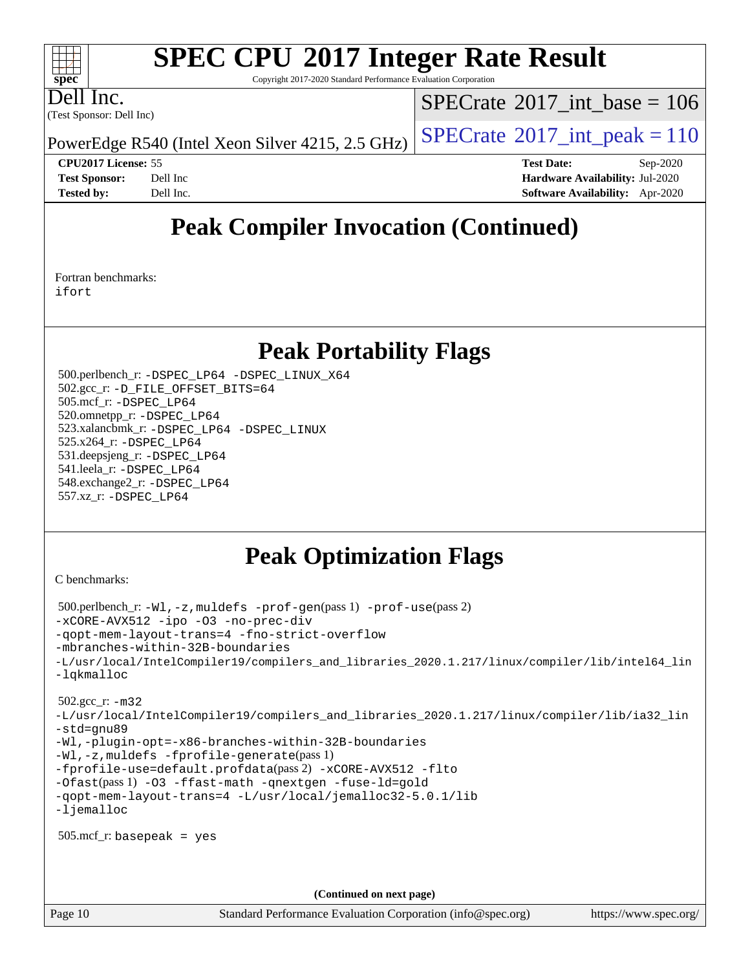# **[SPEC CPU](http://www.spec.org/auto/cpu2017/Docs/result-fields.html#SPECCPU2017IntegerRateResult)[2017 Integer Rate Result](http://www.spec.org/auto/cpu2017/Docs/result-fields.html#SPECCPU2017IntegerRateResult)**

Copyright 2017-2020 Standard Performance Evaluation Corporation

Dell Inc.

**[spec](http://www.spec.org/)**

 $\pm\pm\tau$ 

(Test Sponsor: Dell Inc)

 $SPECTate$ <sup>®</sup>[2017\\_int\\_base =](http://www.spec.org/auto/cpu2017/Docs/result-fields.html#SPECrate2017intbase) 106

PowerEdge R540 (Intel Xeon Silver 4215, 2.5 GHz)  $\left|$  [SPECrate](http://www.spec.org/auto/cpu2017/Docs/result-fields.html#SPECrate2017intpeak)<sup>®</sup>[2017\\_int\\_peak = 1](http://www.spec.org/auto/cpu2017/Docs/result-fields.html#SPECrate2017intpeak)10

**[Tested by:](http://www.spec.org/auto/cpu2017/Docs/result-fields.html#Testedby)** Dell Inc. **[Software Availability:](http://www.spec.org/auto/cpu2017/Docs/result-fields.html#SoftwareAvailability)** Apr-2020

**[CPU2017 License:](http://www.spec.org/auto/cpu2017/Docs/result-fields.html#CPU2017License)** 55 **[Test Date:](http://www.spec.org/auto/cpu2017/Docs/result-fields.html#TestDate)** Sep-2020 **[Test Sponsor:](http://www.spec.org/auto/cpu2017/Docs/result-fields.html#TestSponsor)** Dell Inc **[Hardware Availability:](http://www.spec.org/auto/cpu2017/Docs/result-fields.html#HardwareAvailability)** Jul-2020

## **[Peak Compiler Invocation \(Continued\)](http://www.spec.org/auto/cpu2017/Docs/result-fields.html#PeakCompilerInvocation)**

[Fortran benchmarks](http://www.spec.org/auto/cpu2017/Docs/result-fields.html#Fortranbenchmarks): [ifort](http://www.spec.org/cpu2017/results/res2020q4/cpu2017-20200928-24069.flags.html#user_FCpeak_intel_ifort_8111460550e3ca792625aed983ce982f94888b8b503583aa7ba2b8303487b4d8a21a13e7191a45c5fd58ff318f48f9492884d4413fa793fd88dd292cad7027ca)

## **[Peak Portability Flags](http://www.spec.org/auto/cpu2017/Docs/result-fields.html#PeakPortabilityFlags)**

 500.perlbench\_r: [-DSPEC\\_LP64](http://www.spec.org/cpu2017/results/res2020q4/cpu2017-20200928-24069.flags.html#b500.perlbench_r_peakPORTABILITY_DSPEC_LP64) [-DSPEC\\_LINUX\\_X64](http://www.spec.org/cpu2017/results/res2020q4/cpu2017-20200928-24069.flags.html#b500.perlbench_r_peakCPORTABILITY_DSPEC_LINUX_X64) 502.gcc\_r: [-D\\_FILE\\_OFFSET\\_BITS=64](http://www.spec.org/cpu2017/results/res2020q4/cpu2017-20200928-24069.flags.html#user_peakPORTABILITY502_gcc_r_file_offset_bits_64_5ae949a99b284ddf4e95728d47cb0843d81b2eb0e18bdfe74bbf0f61d0b064f4bda2f10ea5eb90e1dcab0e84dbc592acfc5018bc955c18609f94ddb8d550002c) 505.mcf\_r: [-DSPEC\\_LP64](http://www.spec.org/cpu2017/results/res2020q4/cpu2017-20200928-24069.flags.html#suite_peakPORTABILITY505_mcf_r_DSPEC_LP64) 520.omnetpp\_r: [-DSPEC\\_LP64](http://www.spec.org/cpu2017/results/res2020q4/cpu2017-20200928-24069.flags.html#suite_peakPORTABILITY520_omnetpp_r_DSPEC_LP64) 523.xalancbmk\_r: [-DSPEC\\_LP64](http://www.spec.org/cpu2017/results/res2020q4/cpu2017-20200928-24069.flags.html#suite_peakPORTABILITY523_xalancbmk_r_DSPEC_LP64) [-DSPEC\\_LINUX](http://www.spec.org/cpu2017/results/res2020q4/cpu2017-20200928-24069.flags.html#b523.xalancbmk_r_peakCXXPORTABILITY_DSPEC_LINUX) 525.x264\_r: [-DSPEC\\_LP64](http://www.spec.org/cpu2017/results/res2020q4/cpu2017-20200928-24069.flags.html#suite_peakPORTABILITY525_x264_r_DSPEC_LP64) 531.deepsjeng\_r: [-DSPEC\\_LP64](http://www.spec.org/cpu2017/results/res2020q4/cpu2017-20200928-24069.flags.html#suite_peakPORTABILITY531_deepsjeng_r_DSPEC_LP64) 541.leela\_r: [-DSPEC\\_LP64](http://www.spec.org/cpu2017/results/res2020q4/cpu2017-20200928-24069.flags.html#suite_peakPORTABILITY541_leela_r_DSPEC_LP64) 548.exchange2\_r: [-DSPEC\\_LP64](http://www.spec.org/cpu2017/results/res2020q4/cpu2017-20200928-24069.flags.html#suite_peakPORTABILITY548_exchange2_r_DSPEC_LP64) 557.xz\_r: [-DSPEC\\_LP64](http://www.spec.org/cpu2017/results/res2020q4/cpu2017-20200928-24069.flags.html#suite_peakPORTABILITY557_xz_r_DSPEC_LP64)

## **[Peak Optimization Flags](http://www.spec.org/auto/cpu2017/Docs/result-fields.html#PeakOptimizationFlags)**

[C benchmarks](http://www.spec.org/auto/cpu2017/Docs/result-fields.html#Cbenchmarks):

```
 500.perlbench_r: -Wl,-z,muldefs -prof-gen(pass 1) -prof-use(pass 2)
-xCORE-AVX512 -ipo -O3 -no-prec-div
-qopt-mem-layout-trans=4 -fno-strict-overflow
-mbranches-within-32B-boundaries
-L/usr/local/IntelCompiler19/compilers_and_libraries_2020.1.217/linux/compiler/lib/intel64_lin
-lqkmalloc
 502.gcc_r: -m32
-L/usr/local/IntelCompiler19/compilers_and_libraries_2020.1.217/linux/compiler/lib/ia32_lin
-std=gnu89
-Wl,-plugin-opt=-x86-branches-within-32B-boundaries
-Wl,-z,muldefs -fprofile-generate(pass 1)
-fprofile-use=default.profdata(pass 2) -xCORE-AVX512 -flto
-Ofast(pass 1) -O3 -ffast-math -qnextgen -fuse-ld=gold
-qopt-mem-layout-trans=4 -L/usr/local/jemalloc32-5.0.1/lib
-ljemalloc
 505.mcf_r: basepeak = yes
                                      (Continued on next page)
```